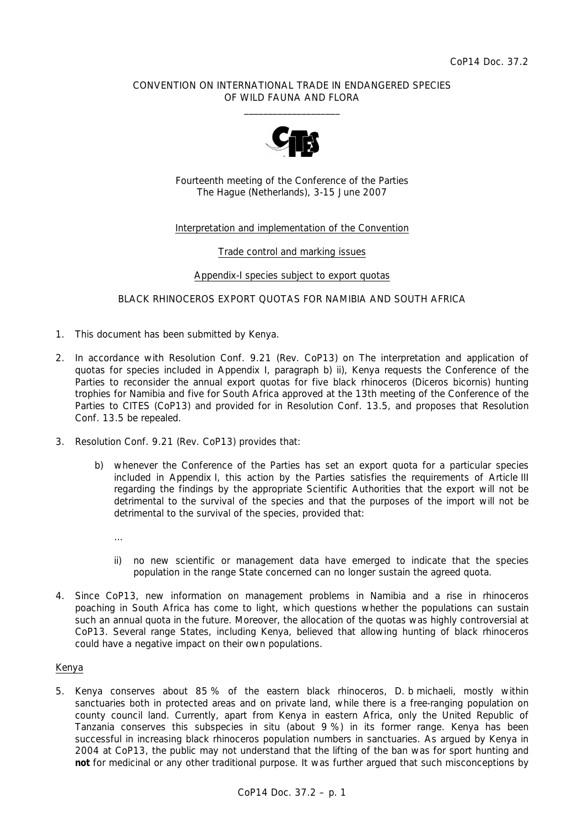### CONVENTION ON INTERNATIONAL TRADE IN ENDANGERED SPECIES OF WILD FAUNA AND FLORA  $\frac{1}{2}$  , and the set of the set of the set of the set of the set of the set of the set of the set of the set of the set of the set of the set of the set of the set of the set of the set of the set of the set of the set



Fourteenth meeting of the Conference of the Parties The Hague (Netherlands), 3-15 June 2007

# Interpretation and implementation of the Convention

### Trade control and marking issues

#### Appendix-I species subject to export quotas

### BLACK RHINOCEROS EXPORT QUOTAS FOR NAMIBIA AND SOUTH AFRICA

- 1. This document has been submitted by Kenya.
- 2. In accordance with Resolution Conf. 9.21 (Rev. CoP13) on The interpretation and application of quotas for species included in Appendix I, paragraph b) ii), Kenya requests the Conference of the Parties to reconsider the annual export quotas for five black rhinoceros (*Diceros bicornis*) hunting trophies for Namibia and five for South Africa approved at the 13th meeting of the Conference of the Parties to CITES (CoP13) and provided for in Resolution Conf. 13.5, and proposes that Resolution Conf. 13.5 be repealed.
- 3. Resolution Conf. 9.21 (Rev. CoP13) provides that:
	- *b) whenever the Conference of the Parties has set an export quota for a particular species included in Appendix I, this action by the Parties satisfies the requirements of Article III regarding the findings by the appropriate Scientific Authorities that the export will not be detrimental to the survival of the species and that the purposes of the import will not be detrimental to the survival of the species, provided that:*
- …
	- *ii) no new scientific or management data have emerged to indicate that the species population in the range State concerned can no longer sustain the agreed quota.*
- 4. Since CoP13, new information on management problems in Namibia and a rise in rhinoceros poaching in South Africa has come to light, which questions whether the populations can sustain such an annual quota in the future. Moreover, the allocation of the quotas was highly controversial at CoP13. Several range States, including Kenya, believed that allowing hunting of black rhinoceros could have a negative impact on their own populations.

#### Kenya

5. Kenya conserves about 85 % of the eastern black rhinoceros, *D. b michaeli*, mostly within sanctuaries both in protected areas and on private land, while there is a free-ranging population on county council land. Currently, apart from Kenya in eastern Africa, only the United Republic of Tanzania conserves this subspecies *in situ* (about 9 %) in its former range. Kenya has been successful in increasing black rhinoceros population numbers in sanctuaries. As argued by Kenya in 2004 at CoP13, the public may not understand that the lifting of the ban was for sport hunting and **not** for medicinal or any other traditional purpose. It was further argued that such misconceptions by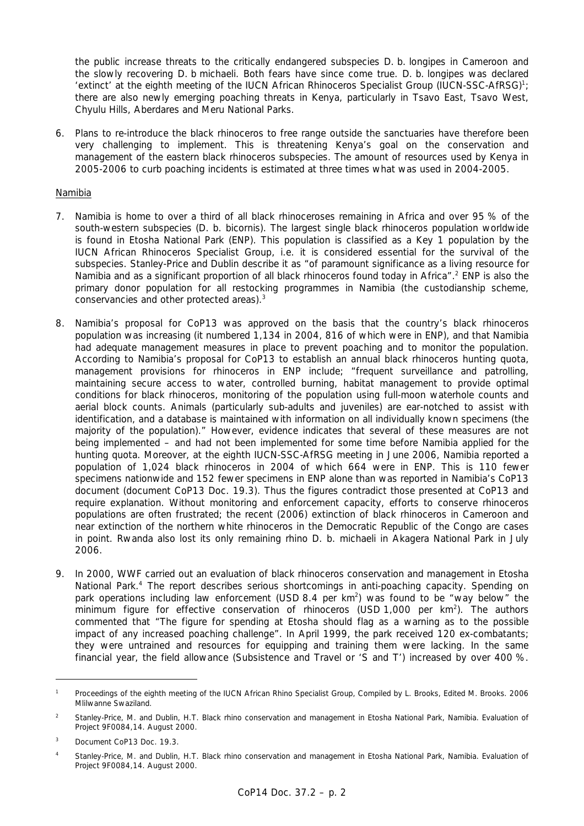the public increase threats to the critically endangered subspecies *D. b. longipes* in Cameroon and the slowly recovering *D. b michaeli.* Both fears have since come true. *D. b. longipes* was declared 'extinct' at the eighth meeting of the IUCN African Rhinoceros Specialist Group (IUCN-SSC-AfRSG)<sup>1</sup>; there are also newly emerging poaching threats in Kenya, particularly in Tsavo East, Tsavo West, Chyulu Hills, Aberdares and Meru National Parks.

6. Plans to re-introduce the black rhinoceros to free range outside the sanctuaries have therefore been very challenging to implement. This is threatening Kenya's goal on the conservation and management of the eastern black rhinoceros subspecies. The amount of resources used by Kenya in 2005-2006 to curb poaching incidents is estimated at three times what was used in 2004-2005.

### Namibia

- 7. Namibia is home to over a third of all black rhinoceroses remaining in Africa and over 95 % of the south-western subspecies (*D. b. bicornis*). The largest single black rhinoceros population worldwide is found in Etosha National Park (ENP). This population is classified as a Key 1 population by the IUCN African Rhinoceros Specialist Group, i.e. it is considered essential for the survival of the subspecies. Stanley-Price and Dublin describe it as "of paramount significance as a living resource for Namibia and as a significant proportion of all black rhinoceros found today in Africa".<sup>2</sup> ENP is also the primary donor population for all restocking programmes in Namibia (the custodianship scheme, conservancies and other protected areas).<sup>3</sup>
- 8. Namibia's proposal for CoP13 was approved on the basis that the country's black rhinoceros population was increasing (it numbered 1,134 in 2004, 816 of which were in ENP), and that Namibia had adequate management measures in place to prevent poaching and to monitor the population. According to Namibia's proposal for CoP13 to establish an annual black rhinoceros hunting quota, management provisions for rhinoceros in ENP include; "frequent surveillance and patrolling, maintaining secure access to water, controlled burning, habitat management to provide optimal conditions for black rhinoceros, monitoring of the population using full-moon waterhole counts and aerial block counts. Animals (particularly sub-adults and juveniles) are ear-notched to assist with identification, and a database is maintained with information on all individually known specimens (the majority of the population)." However, evidence indicates that several of these measures are not being implemented – and had not been implemented for some time before Namibia applied for the hunting quota. Moreover, at the eighth IUCN-SSC-AfRSG meeting in June 2006, Namibia reported a population of 1,024 black rhinoceros in 2004 of which 664 were in ENP. This is 110 fewer specimens nationwide and 152 fewer specimens in ENP alone than was reported in Namibia's CoP13 document (document CoP13 Doc. 19.3). Thus the figures contradict those presented at CoP13 and require explanation. Without monitoring and enforcement capacity, efforts to conserve rhinoceros populations are often frustrated; the recent (2006) extinction of black rhinoceros in Cameroon and near extinction of the northern white rhinoceros in the Democratic Republic of the Congo are cases in point. Rwanda also lost its only remaining rhino *D. b. michaeli* in Akagera National Park in July 2006.
- 9. In 2000, WWF carried out an evaluation of black rhinoceros conservation and management in Etosha National Park.<sup>4</sup> The report describes serious shortcomings in anti-poaching capacity. Spending on park operations including law enforcement (USD 8.4 per km<sup>2</sup>) was found to be "way below" the minimum figure for effective conservation of rhinoceros (USD 1,000 per  $km^2$ ). The authors commented that "The figure for spending at Etosha should flag as a warning as to the possible impact of any increased poaching challenge". In April 1999, the park received 120 ex-combatants; they were untrained and resources for equipping and training them were lacking. In the same financial year, the field allowance (Subsistence and Travel or 'S and T') increased by over 400 %.

*<sup>1</sup> Proceedings of the eighth meeting of the IUCN African Rhino Specialist Group, Compiled by L. Brooks, Edited M. Brooks. 2006 Mlilwanne Swaziland.* 

*<sup>2</sup> Stanley-Price, M. and Dublin, H.T.* Black rhino conservation and management in Etosha National Park, Namibia. *Evaluation of Project 9F0084,14. August 2000.* 

*<sup>3</sup> Document CoP13 Doc. 19.3.*

*<sup>4</sup> Stanley-Price, M. and Dublin, H.T.* Black rhino conservation and management in Etosha National Park, Namibia. *Evaluation of Project 9F0084,14. August 2000.*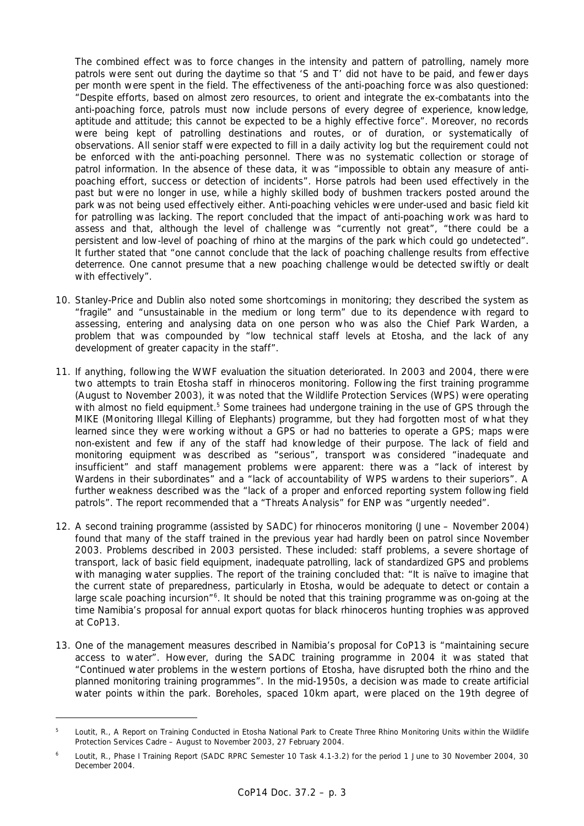The combined effect was to force changes in the intensity and pattern of patrolling, namely more patrols were sent out during the daytime so that 'S and T' did not have to be paid, and fewer days per month were spent in the field. The effectiveness of the anti-poaching force was also questioned: "Despite efforts, based on almost zero resources, to orient and integrate the ex-combatants into the anti-poaching force, patrols must now include persons of every degree of experience, knowledge, aptitude and attitude; this cannot be expected to be a highly effective force". Moreover, no records were being kept of patrolling destinations and routes, or of duration, or systematically of observations. All senior staff were expected to fill in a daily activity log but the requirement could not be enforced with the anti-poaching personnel. There was no systematic collection or storage of patrol information. In the absence of these data, it was "impossible to obtain any measure of antipoaching effort, success or detection of incidents". Horse patrols had been used effectively in the past but were no longer in use, while a highly skilled body of bushmen trackers posted around the park was not being used effectively either. Anti-poaching vehicles were under-used and basic field kit for patrolling was lacking. The report concluded that the impact of anti-poaching work was hard to assess and that, although the level of challenge was "currently not great", "there could be a persistent and low-level of poaching of rhino at the margins of the park which could go undetected". It further stated that "one cannot conclude that the lack of poaching challenge results from effective deterrence. One cannot presume that a new poaching challenge would be detected swiftly or dealt with effectively".

- 10. Stanley-Price and Dublin also noted some shortcomings in monitoring; they described the system as "fragile" and "unsustainable in the medium or long term" due to its dependence with regard to assessing, entering and analysing data on one person who was also the Chief Park Warden, a problem that was compounded by "low technical staff levels at Etosha, and the lack of any development of greater capacity in the staff".
- 11. If anything, following the WWF evaluation the situation deteriorated. In 2003 and 2004, there were two attempts to train Etosha staff in rhinoceros monitoring. Following the first training programme (August to November 2003), it was noted that the Wildlife Protection Services (WPS) were operating with almost no field equipment.<sup>5</sup> Some trainees had undergone training in the use of GPS through the MIKE (Monitoring Illegal Killing of Elephants) programme, but they had forgotten most of what they learned since they were working without a GPS or had no batteries to operate a GPS; maps were non-existent and few if any of the staff had knowledge of their purpose. The lack of field and monitoring equipment was described as "serious", transport was considered "inadequate and insufficient" and staff management problems were apparent: there was a "lack of interest by Wardens in their subordinates" and a "lack of accountability of WPS wardens to their superiors". A further weakness described was the "lack of a proper and enforced reporting system following field patrols". The report recommended that a "Threats Analysis" for ENP was "urgently needed".
- 12. A second training programme (assisted by SADC) for rhinoceros monitoring (June November 2004) found that many of the staff trained in the previous year had hardly been on patrol since November 2003. Problems described in 2003 persisted. These included: staff problems, a severe shortage of transport, lack of basic field equipment, inadequate patrolling, lack of standardized GPS and problems with managing water supplies. The report of the training concluded that: "It is naïve to imagine that the current state of preparedness, particularly in Etosha, would be adequate to detect or contain a large scale poaching incursion"<sup>6</sup>. It should be noted that this training programme was on-going at the time Namibia's proposal for annual export quotas for black rhinoceros hunting trophies was approved at CoP13.
- 13. One of the management measures described in Namibia's proposal for CoP13 is "maintaining secure access to water". However, during the SADC training programme in 2004 it was stated that "Continued water problems in the western portions of Etosha, have disrupted both the rhino and the planned monitoring training programmes". In the mid-1950s, a decision was made to create artificial water points within the park. Boreholes, spaced 10km apart, were placed on the 19th degree of

*<sup>5</sup> Loutit, R., A Report on Training Conducted in Etosha National Park to Create Three Rhino Monitoring Units within the Wildlife Protection Services Cadre – August to November 2003, 27 February 2004.*

*<sup>6</sup> Loutit, R.,* Phase I Training Report (SADC RPRC Semester 10 Task 4.1-3.2) for the period 1 June to 30 November 2004*, 30 December 2004.*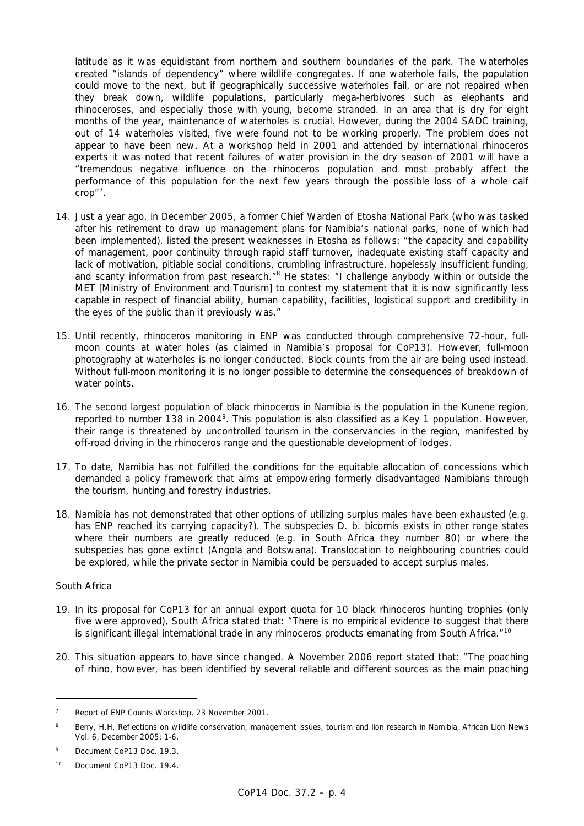latitude as it was equidistant from northern and southern boundaries of the park. The waterholes created "islands of dependency" where wildlife congregates. If one waterhole fails, the population could move to the next, but if geographically successive waterholes fail, or are not repaired when they break down, wildlife populations, particularly mega-herbivores such as elephants and rhinoceroses, and especially those with young, become stranded. In an area that is dry for eight months of the year, maintenance of waterholes is crucial. However, during the 2004 SADC training, out of 14 waterholes visited, five were found not to be working properly. The problem does not appear to have been new. At a workshop held in 2001 and attended by international rhinoceros experts it was noted that recent failures of water provision in the dry season of 2001 will have a "tremendous negative influence on the rhinoceros population and most probably affect the performance of this population for the next few years through the possible loss of a whole calf crop"7 .

- 14. Just a year ago, in December 2005, a former Chief Warden of Etosha National Park (who was tasked after his retirement to draw up management plans for Namibia's national parks, none of which had been implemented), listed the present weaknesses in Etosha as follows: "the capacity and capability of management, poor continuity through rapid staff turnover, inadequate existing staff capacity and lack of motivation, pitiable social conditions, crumbling infrastructure, hopelessly insufficient funding, and scanty information from past research.<sup>"8</sup> He states: "I challenge anybody within or outside the MET [Ministry of Environment and Tourism] to contest my statement that it is now significantly less capable in respect of financial ability, human capability, facilities, logistical support and credibility in the eyes of the public than it previously was."
- 15. Until recently, rhinoceros monitoring in ENP was conducted through comprehensive 72-hour, fullmoon counts at water holes (as claimed in Namibia's proposal for CoP13). However, full-moon photography at waterholes is no longer conducted. Block counts from the air are being used instead. Without full-moon monitoring it is no longer possible to determine the consequences of breakdown of water points.
- 16. The second largest population of black rhinoceros in Namibia is the population in the Kunene region, reported to number 138 in 2004<sup>9</sup>. This population is also classified as a Key 1 population. However, their range is threatened by uncontrolled tourism in the conservancies in the region, manifested by off-road driving in the rhinoceros range and the questionable development of lodges.
- 17. To date, Namibia has not fulfilled the conditions for the equitable allocation of concessions which demanded a policy framework that aims at empowering formerly disadvantaged Namibians through the tourism, hunting and forestry industries.
- 18. Namibia has not demonstrated that other options of utilizing surplus males have been exhausted (e.g. has ENP reached its carrying capacity?). The subspecies *D. b. bicornis* exists in other range states where their numbers are greatly reduced (e.g. in South Africa they number 80) or where the subspecies has gone extinct (Angola and Botswana). Translocation to neighbouring countries could be explored, while the private sector in Namibia could be persuaded to accept surplus males.

# South Africa

- 19. In its proposal for CoP13 for an annual export quota for 10 black rhinoceros hunting trophies (only five were approved), South Africa stated that: "There is no empirical evidence to suggest that there is significant illegal international trade in any rhinoceros products emanating from South Africa."<sup>10</sup>
- 20. This situation appears to have since changed. A November 2006 report stated that: "The poaching of rhino, however, has been identified by several reliable and different sources as the main poaching

*<sup>7</sup> Report of ENP Counts Workshop, 23 November 2001.* 

*<sup>8</sup> Berry, H.H,* Reflections on wildlife conservation, management issues, tourism and lion research in Namibia*, African Lion News Vol. 6, December 2005: 1-6.* 

*<sup>9</sup> Document CoP13 Doc. 19.3.*

*<sup>10</sup> Document CoP13 Doc. 19.4.*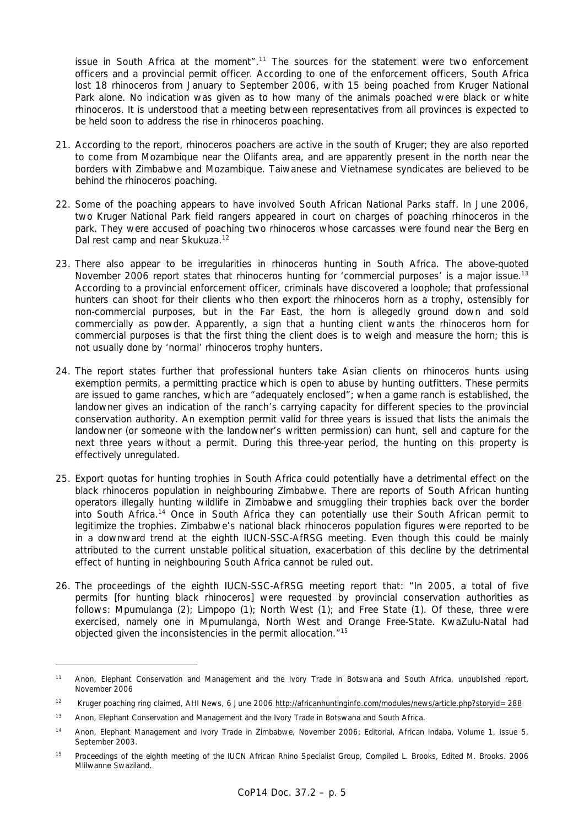issue in South Africa at the moment".<sup>11</sup> The sources for the statement were two enforcement officers and a provincial permit officer. According to one of the enforcement officers, South Africa lost 18 rhinoceros from January to September 2006, with 15 being poached from Kruger National Park alone. No indication was given as to how many of the animals poached were black or white rhinoceros. It is understood that a meeting between representatives from all provinces is expected to be held soon to address the rise in rhinoceros poaching.

- 21. According to the report, rhinoceros poachers are active in the south of Kruger; they are also reported to come from Mozambique near the Olifants area, and are apparently present in the north near the borders with Zimbabwe and Mozambique. Taiwanese and Vietnamese syndicates are believed to be behind the rhinoceros poaching.
- 22. Some of the poaching appears to have involved South African National Parks staff. In June 2006, two Kruger National Park field rangers appeared in court on charges of poaching rhinoceros in the park. They were accused of poaching two rhinoceros whose carcasses were found near the Berg en Dal rest camp and near Skukuza.<sup>12</sup>
- 23. There also appear to be irregularities in rhinoceros hunting in South Africa. The above-quoted November 2006 report states that rhinoceros hunting for 'commercial purposes' is a major issue.<sup>13</sup> According to a provincial enforcement officer, criminals have discovered a loophole; that professional hunters can shoot for their clients who then export the rhinoceros horn as a trophy, ostensibly for non-commercial purposes, but in the Far East, the horn is allegedly ground down and sold commercially as powder. Apparently, a sign that a hunting client wants the rhinoceros horn for commercial purposes is that the first thing the client does is to weigh and measure the horn; this is not usually done by 'normal' rhinoceros trophy hunters.
- 24. The report states further that professional hunters take Asian clients on rhinoceros hunts using exemption permits, a permitting practice which is open to abuse by hunting outfitters. These permits are issued to game ranches, which are "adequately enclosed"; when a game ranch is established, the landowner gives an indication of the ranch's carrying capacity for different species to the provincial conservation authority. An exemption permit valid for three years is issued that lists the animals the landowner (or someone with the landowner's written permission) can hunt, sell and capture for the next three years without a permit. During this three-year period, the hunting on this property is effectively unregulated.
- 25. Export quotas for hunting trophies in South Africa could potentially have a detrimental effect on the black rhinoceros population in neighbouring Zimbabwe. There are reports of South African hunting operators illegally hunting wildlife in Zimbabwe and smuggling their trophies back over the border into South Africa.14 Once in South Africa they can potentially use their South African permit to legitimize the trophies. Zimbabwe's national black rhinoceros population figures were reported to be in a downward trend at the eighth IUCN-SSC-AfRSG meeting. Even though this could be mainly attributed to the current unstable political situation, exacerbation of this decline by the detrimental effect of hunting in neighbouring South Africa cannot be ruled out.
- 26. The proceedings of the eighth IUCN-SSC-AfRSG meeting report that: "In 2005, a total of five permits [for hunting black rhinoceros] were requested by provincial conservation authorities as follows: Mpumulanga (2); Limpopo (1); North West (1); and Free State (1). Of these, three were exercised, namely one in Mpumulanga, North West and Orange Free-State. KwaZulu-Natal had objected given the inconsistencies in the permit allocation."15

<sup>&</sup>lt;sup>11</sup> Anon, Elephant Conservation and Management and the Ivory Trade in Botswana and South Africa, unpublished report, *November 2006* 

*<sup>12</sup> Kruger poaching ring claimed, AHI News, 6 June 2006 http://africanhuntinginfo.com/modules/news/article.php?storyid=288*

*<sup>13</sup> Anon, Elephant Conservation and Management and the Ivory Trade in Botswana and South Africa.* 

*<sup>14</sup> Anon,* Elephant Management and Ivory Trade in Zimbabwe*, November 2006; Editorial, African Indaba, Volume 1, Issue 5, September 2003.* 

*<sup>15</sup> Proceedings of the eighth meeting of the IUCN African Rhino Specialist Group, Compiled L. Brooks, Edited M. Brooks. 2006 Mlilwanne Swaziland.*